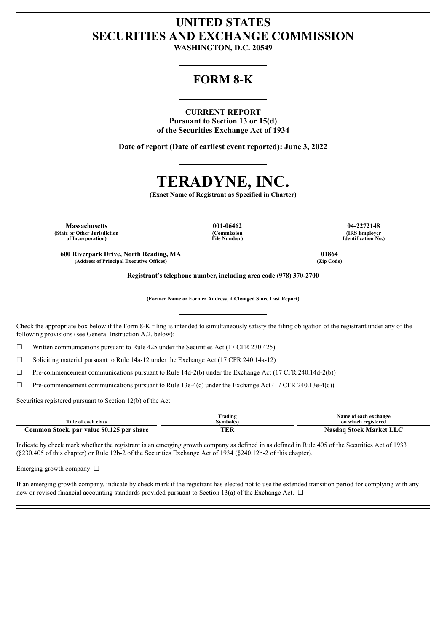## **UNITED STATES SECURITIES AND EXCHANGE COMMISSION**

**WASHINGTON, D.C. 20549**

## **FORM 8-K**

**CURRENT REPORT Pursuant to Section 13 or 15(d) of the Securities Exchange Act of 1934**

**Date of report (Date of earliest event reported): June 3, 2022**



**(Exact Name of Registrant as Specified in Charter)**

**Massachusetts 001-06462 04-2272148 (State or Other Jurisdiction of Incorporation)**

**(Commission File Number)**

**(IRS Employer Identification No.)**

**600 Riverpark Drive, North Reading, MA 01864**  $(A$ ddress of **Principal Executive** Offices)

**Registrant's telephone number, including area code (978) 370-2700**

**(Former Name or Former Address, if Changed Since Last Report)**

Check the appropriate box below if the Form 8-K filing is intended to simultaneously satisfy the filing obligation of the registrant under any of the following provisions (see General Instruction A.2. below):

 $\Box$  Written communications pursuant to Rule 425 under the Securities Act (17 CFR 230.425)

☐ Soliciting material pursuant to Rule 14a-12 under the Exchange Act (17 CFR 240.14a-12)

☐ Pre-commencement communications pursuant to Rule 14d-2(b) under the Exchange Act (17 CFR 240.14d-2(b))

☐ Pre-commencement communications pursuant to Rule 13e-4(c) under the Exchange Act (17 CFR 240.13e-4(c))

Securities registered pursuant to Section 12(b) of the Act:

|                                           | Trading   | Name of each exchange          |
|-------------------------------------------|-----------|--------------------------------|
| Title of each class                       | Symbol(s) | on which registered            |
| Common Stock, par value \$0.125 per share | TER       | <b>Nasdaq Stock Market LLC</b> |

Indicate by check mark whether the registrant is an emerging growth company as defined in as defined in Rule 405 of the Securities Act of 1933 (§230.405 of this chapter) or Rule 12b-2 of the Securities Exchange Act of 1934 (§240.12b-2 of this chapter).

Emerging growth company  $\Box$ 

If an emerging growth company, indicate by check mark if the registrant has elected not to use the extended transition period for complying with any new or revised financial accounting standards provided pursuant to Section 13(a) of the Exchange Act.  $\Box$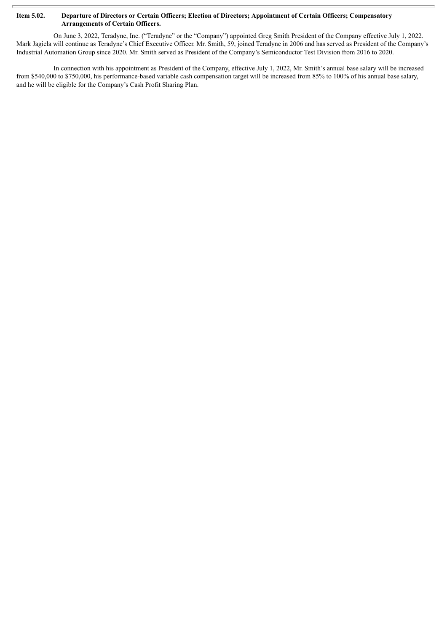## Item 5.02. Departure of Directors or Certain Officers; Election of Directors; Appointment of Certain Officers; Compensatory **Arrangements of Certain Officers.**

On June 3, 2022, Teradyne, Inc. ("Teradyne" or the "Company") appointed Greg Smith President of the Company effective July 1, 2022. Mark Jagiela will continue as Teradyne's Chief Executive Officer. Mr. Smith, 59, joined Teradyne in 2006 and has served as President of the Company's Industrial Automation Group since 2020. Mr. Smith served as President of the Company's Semiconductor Test Division from 2016 to 2020.

In connection with his appointment as President of the Company, effective July 1, 2022, Mr. Smith's annual base salary will be increased from \$540,000 to \$750,000, his performance-based variable cash compensation target will be increased from 85% to 100% of his annual base salary, and he will be eligible for the Company's Cash Profit Sharing Plan.